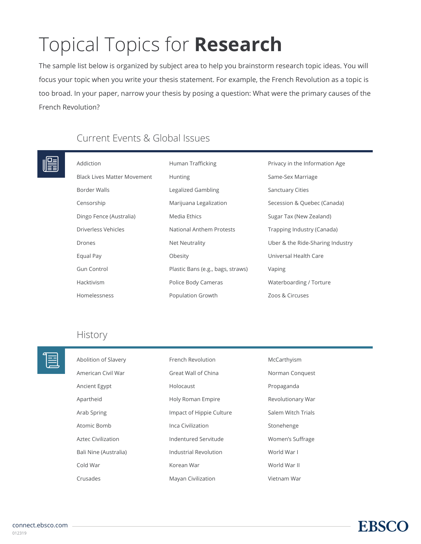# Topical Topics for **Research**

The sample list below is organized by subject area to help you brainstorm research topic ideas. You will focus your topic when you write your thesis statement. For example, the French Revolution as a topic is too broad. In your paper, narrow your thesis by posing a question: What were the primary causes of the French Revolution?

## Current Events & Global Issues

#### Addicti  $T_{\text{max}}$  CC = 1.1.

| Addiction                          | Human Trafficking                 | Privacy in the Information Age   |
|------------------------------------|-----------------------------------|----------------------------------|
| <b>Black Lives Matter Movement</b> | <b>Hunting</b>                    | Same-Sex Marriage                |
| Border Walls                       | Legalized Gambling                | <b>Sanctuary Cities</b>          |
| Censorship                         | Marijuana Legalization            | Secession & Quebec (Canada)      |
| Dingo Fence (Australia)            | Media Ethics                      | Sugar Tax (New Zealand)          |
| Driverless Vehicles                | National Anthem Protests          | Trapping Industry (Canada)       |
| Drones                             | <b>Net Neutrality</b>             | Uber & the Ride-Sharing Industry |
| Equal Pay                          | Obesity                           | Universal Health Care            |
| Gun Control                        | Plastic Bans (e.g., bags, straws) | Vaping                           |
| Hacktivism                         | Police Body Cameras               | Waterboarding / Torture          |
| Homelessness                       | Population Growth                 | Zoos & Circuses                  |

### History

| ≣ | Abolition of Slavery  | French Revolution        | McCarthyism        |
|---|-----------------------|--------------------------|--------------------|
|   | American Civil War    | Great Wall of China      | Norman Conquest    |
|   | Ancient Egypt         | Holocaust                | Propaganda         |
|   | Apartheid             | Holy Roman Empire        | Revolutionary War  |
|   | Arab Spring           | Impact of Hippie Culture | Salem Witch Trials |
|   | Atomic Bomb           | Inca Civilization        | Stonehenge         |
|   | Aztec Civilization    | Indentured Servitude     | Women's Suffrage   |
|   | Bali Nine (Australia) | Industrial Revolution    | World War I        |
|   | Cold War              | Korean War               | World War II       |
|   | Crusades              | Mayan Civilization       | Vietnam War        |

**EBSC**